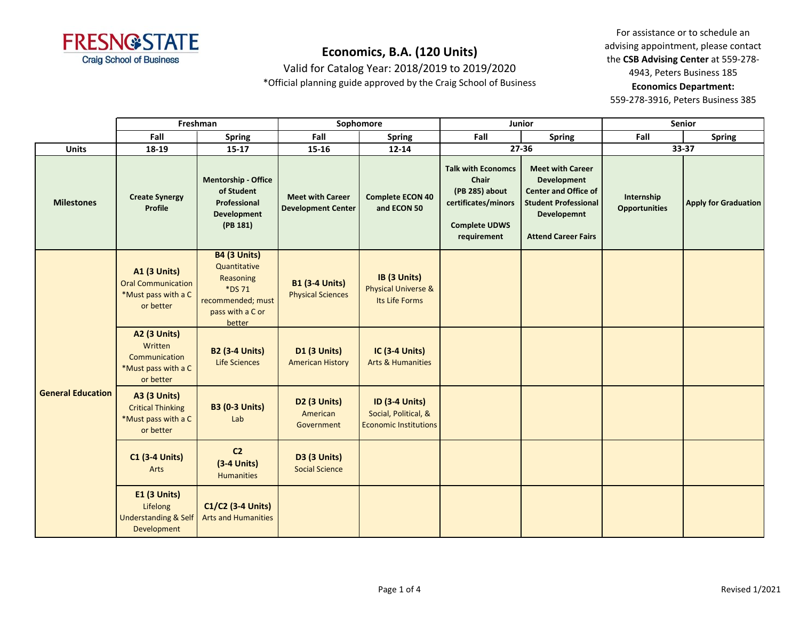

Valid for Catalog Year: 2018/2019 to 2019/2020

\*Official planning guide approved by the Craig School of Business

For assistance or to schedule an advising appointment, please contact the **CSB Advising Center** at 559-278- 4943, Peters Business 185 **Economics Department:** 

|                          |                                                                                      | Freshman<br>Sophomore                                                                                         |                                                      | Junior                                                                        |                                                                                                                    | Senior                                                                                                                                            |                                    |                             |
|--------------------------|--------------------------------------------------------------------------------------|---------------------------------------------------------------------------------------------------------------|------------------------------------------------------|-------------------------------------------------------------------------------|--------------------------------------------------------------------------------------------------------------------|---------------------------------------------------------------------------------------------------------------------------------------------------|------------------------------------|-----------------------------|
|                          | Fall                                                                                 | <b>Spring</b>                                                                                                 | Fall                                                 | <b>Spring</b>                                                                 | Fall                                                                                                               | <b>Spring</b>                                                                                                                                     | Fall                               | <b>Spring</b>               |
| <b>Units</b>             | 18-19                                                                                | $15 - 17$                                                                                                     | $15 - 16$                                            | $12 - 14$                                                                     |                                                                                                                    | $27 - 36$                                                                                                                                         |                                    | 33-37                       |
| <b>Milestones</b>        | <b>Create Synergy</b><br>Profile                                                     | <b>Mentorship - Office</b><br>of Student<br>Professional<br><b>Development</b><br>(PB 181)                    | <b>Meet with Career</b><br><b>Development Center</b> | <b>Complete ECON 40</b><br>and ECON 50                                        | <b>Talk with Economcs</b><br>Chair<br>(PB 285) about<br>certificates/minors<br><b>Complete UDWS</b><br>requirement | <b>Meet with Career</b><br>Development<br><b>Center and Office of</b><br><b>Student Professional</b><br>Developemnt<br><b>Attend Career Fairs</b> | Internship<br><b>Opportunities</b> | <b>Apply for Graduation</b> |
| <b>General Education</b> | <b>A1 (3 Units)</b><br><b>Oral Communication</b><br>*Must pass with a C<br>or better | <b>B4 (3 Units)</b><br>Quantitative<br>Reasoning<br>*DS 71<br>recommended; must<br>pass with a C or<br>better | <b>B1 (3-4 Units)</b><br><b>Physical Sciences</b>    | IB (3 Units)<br><b>Physical Universe &amp;</b><br>Its Life Forms              |                                                                                                                    |                                                                                                                                                   |                                    |                             |
|                          | <b>A2 (3 Units)</b><br>Written<br>Communication<br>*Must pass with a C<br>or better  | <b>B2 (3-4 Units)</b><br><b>Life Sciences</b>                                                                 | <b>D1 (3 Units)</b><br><b>American History</b>       | <b>IC (3-4 Units)</b><br><b>Arts &amp; Humanities</b>                         |                                                                                                                    |                                                                                                                                                   |                                    |                             |
|                          | <b>A3 (3 Units)</b><br><b>Critical Thinking</b><br>*Must pass with a C<br>or better  | <b>B3 (0-3 Units)</b><br>Lab                                                                                  | <b>D2 (3 Units)</b><br>American<br>Government        | <b>ID (3-4 Units)</b><br>Social, Political, &<br><b>Economic Institutions</b> |                                                                                                                    |                                                                                                                                                   |                                    |                             |
|                          | <b>C1 (3-4 Units)</b><br>Arts                                                        | C <sub>2</sub><br>$(3-4$ Units)<br><b>Humanities</b>                                                          | <b>D3 (3 Units)</b><br><b>Social Science</b>         |                                                                               |                                                                                                                    |                                                                                                                                                   |                                    |                             |
|                          | <b>E1 (3 Units)</b><br>Lifelong<br><b>Understanding &amp; Self</b><br>Development    | C1/C2 (3-4 Units)<br><b>Arts and Humanities</b>                                                               |                                                      |                                                                               |                                                                                                                    |                                                                                                                                                   |                                    |                             |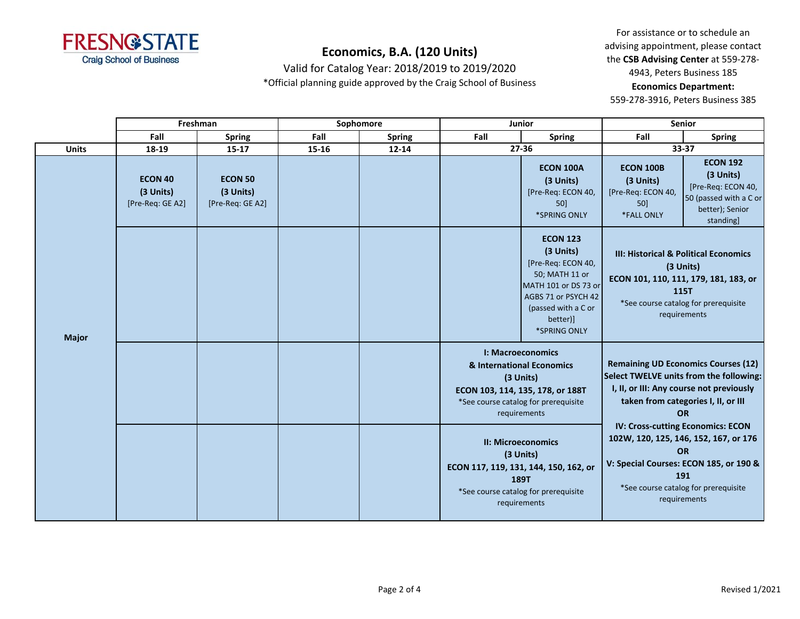

Valid for Catalog Year: 2018/2019 to 2019/2020

\*Official planning guide approved by the Craig School of Business

For assistance or to schedule an advising appointment, please contact the **CSB Advising Center** at 559-278- 4943, Peters Business 185 **Economics Department:** 

|              |                                                 | Freshman<br>Sophomore<br>Junior                 |       |               | <b>Senior</b>                                                                                                                                   |                                                                                                                                                                        |                                                                                                                                                                                                  |                                                                                                                                                                        |
|--------------|-------------------------------------------------|-------------------------------------------------|-------|---------------|-------------------------------------------------------------------------------------------------------------------------------------------------|------------------------------------------------------------------------------------------------------------------------------------------------------------------------|--------------------------------------------------------------------------------------------------------------------------------------------------------------------------------------------------|------------------------------------------------------------------------------------------------------------------------------------------------------------------------|
|              | Fall                                            | <b>Spring</b>                                   | Fall  | <b>Spring</b> | Fall                                                                                                                                            | <b>Spring</b>                                                                                                                                                          | Fall                                                                                                                                                                                             | <b>Spring</b>                                                                                                                                                          |
| <b>Units</b> | 18-19                                           | $15 - 17$                                       | 15-16 | $12 - 14$     |                                                                                                                                                 | 27-36                                                                                                                                                                  | 33-37                                                                                                                                                                                            |                                                                                                                                                                        |
| <b>Major</b> | <b>ECON 40</b><br>(3 Units)<br>[Pre-Req: GE A2] | <b>ECON 50</b><br>(3 Units)<br>[Pre-Req: GE A2] |       |               |                                                                                                                                                 | <b>ECON 100A</b><br>(3 Units)<br>[Pre-Req: ECON 40,<br>50]<br>*SPRING ONLY                                                                                             | <b>ECON 100B</b><br>(3 Units)<br>[Pre-Req: ECON 40,<br>50]<br>*FALL ONLY                                                                                                                         | <b>ECON 192</b><br>(3 Units)<br>[Pre-Req: ECON 40,<br>50 (passed with a C or<br>better); Senior<br>standing]                                                           |
|              |                                                 |                                                 |       |               |                                                                                                                                                 | <b>ECON 123</b><br>(3 Units)<br>[Pre-Req: ECON 40,<br>50; MATH 11 or<br>MATH 101 or DS 73 or<br>AGBS 71 or PSYCH 42<br>(passed with a C or<br>better)]<br>*SPRING ONLY |                                                                                                                                                                                                  | <b>III: Historical &amp; Political Economics</b><br>(3 Units)<br>ECON 101, 110, 111, 179, 181, 183, or<br>115T<br>*See course catalog for prerequisite<br>requirements |
|              |                                                 |                                                 |       |               |                                                                                                                                                 | I: Macroeconomics<br>& International Economics<br>(3 Units)<br>ECON 103, 114, 135, 178, or 188T<br>*See course catalog for prerequisite<br>requirements                | Select TWELVE units from the following:                                                                                                                                                          | <b>Remaining UD Economics Courses (12)</b><br>I, II, or III: Any course not previously<br>taken from categories I, II, or III<br><b>OR</b>                             |
|              |                                                 |                                                 |       |               | <b>II: Microeconomics</b><br>(3 Units)<br>ECON 117, 119, 131, 144, 150, 162, or<br>189T<br>*See course catalog for prerequisite<br>requirements |                                                                                                                                                                        | IV: Cross-cutting Economics: ECON<br>102W, 120, 125, 146, 152, 167, or 176<br><b>OR</b><br>V: Special Courses: ECON 185, or 190 &<br>191<br>*See course catalog for prerequisite<br>requirements |                                                                                                                                                                        |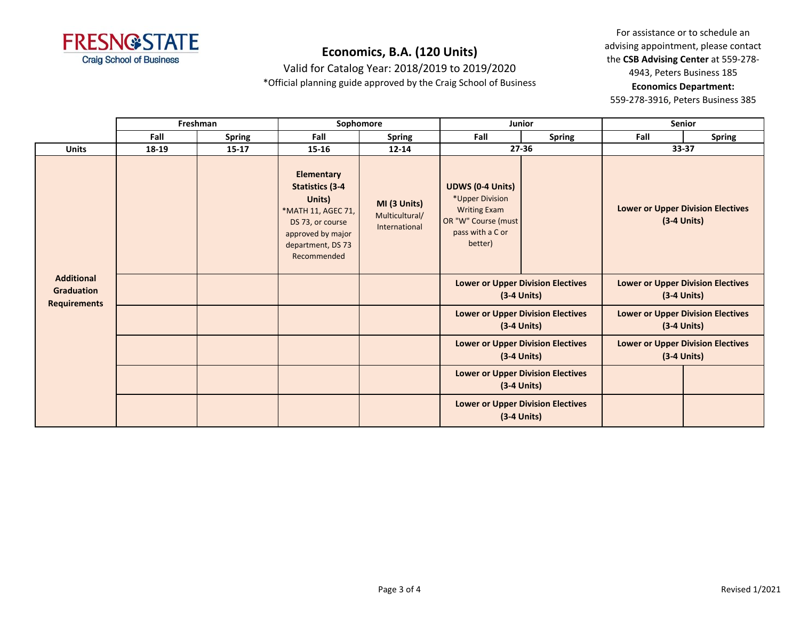

Valid for Catalog Year: 2018/2019 to 2019/2020

\*Official planning guide approved by the Craig School of Business

For assistance or to schedule an advising appointment, please contact the **CSB Advising Center** at 559-278- 4943, Peters Business 185 **Economics Department:** 

|                                                        | Freshman |               | Sophomore                                                                                                                                                |                                                 | Junior                                                                                                                  |                                                           | <b>Senior</b>                                             |                                                           |
|--------------------------------------------------------|----------|---------------|----------------------------------------------------------------------------------------------------------------------------------------------------------|-------------------------------------------------|-------------------------------------------------------------------------------------------------------------------------|-----------------------------------------------------------|-----------------------------------------------------------|-----------------------------------------------------------|
|                                                        | Fall     | <b>Spring</b> | Fall                                                                                                                                                     | <b>Spring</b>                                   | Fall                                                                                                                    | <b>Spring</b>                                             | Fall                                                      | <b>Spring</b>                                             |
| <b>Units</b>                                           | 18-19    | $15 - 17$     | $15 - 16$                                                                                                                                                | $12 - 14$                                       |                                                                                                                         | $27 - 36$                                                 | 33-37                                                     |                                                           |
| <b>Additional</b><br>Graduation<br><b>Requirements</b> |          |               | <b>Elementary</b><br><b>Statistics (3-4</b><br>Units)<br>*MATH 11, AGEC 71,<br>DS 73, or course<br>approved by major<br>department, DS 73<br>Recommended | MI (3 Units)<br>Multicultural/<br>International | <b>UDWS (0-4 Units)</b><br>*Upper Division<br><b>Writing Exam</b><br>OR "W" Course (must<br>pass with a C or<br>better) |                                                           |                                                           | <b>Lower or Upper Division Electives</b><br>$(3-4$ Units) |
|                                                        |          |               |                                                                                                                                                          |                                                 | <b>Lower or Upper Division Electives</b><br>$(3-4$ Units)                                                               |                                                           | <b>Lower or Upper Division Electives</b><br>$(3-4$ Units) |                                                           |
|                                                        |          |               |                                                                                                                                                          |                                                 | <b>Lower or Upper Division Electives</b><br>$(3-4$ Units)                                                               |                                                           | <b>Lower or Upper Division Electives</b><br>$(3-4$ Units) |                                                           |
|                                                        |          |               |                                                                                                                                                          |                                                 | <b>Lower or Upper Division Electives</b><br>$(3-4$ Units)                                                               |                                                           | <b>Lower or Upper Division Electives</b><br>$(3-4$ Units) |                                                           |
|                                                        |          |               |                                                                                                                                                          |                                                 | <b>Lower or Upper Division Electives</b><br>$(3-4$ Units)                                                               |                                                           |                                                           |                                                           |
|                                                        |          |               |                                                                                                                                                          |                                                 |                                                                                                                         | <b>Lower or Upper Division Electives</b><br>$(3-4$ Units) |                                                           |                                                           |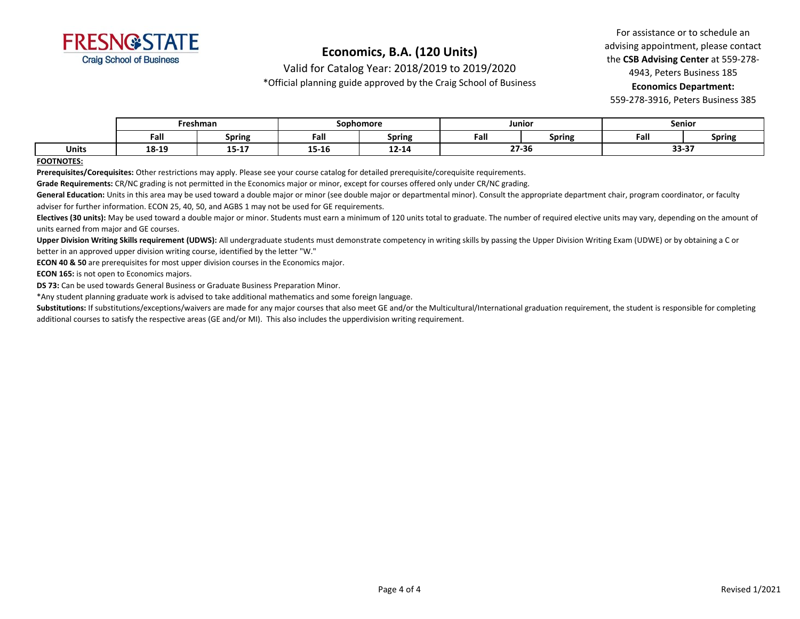

Valid for Catalog Year: 2018/2019 to 2019/2020

\*Official planning guide approved by the Craig School of Business

For assistance or to schedule an advising appointment, please contact the **CSB Advising Center** at 559-278- 4943, Peters Business 185 **Economics Department:** 

559-278-3916, Peters Business 385

|       | Freshman      |               | Sophomore |        | Junior |                      | Senior |               |
|-------|---------------|---------------|-----------|--------|--------|----------------------|--------|---------------|
|       | Fall          | <b>Spring</b> | Fal       | Spring | Fall   | . .<br><b>Spring</b> | Fall   | <b>Spring</b> |
| Units | 1010<br>T9-TA | $15 - 17$     | 15-16     | 12-14  | 27-36  |                      | 55-5   | 22.27         |

#### **FOOTNOTES:**

**Prerequisites/Corequisites:** Other restrictions may apply. Please see your course catalog for detailed prerequisite/corequisite requirements.

**Grade Requirements:** CR/NC grading is not permitted in the Economics major or minor, except for courses offered only under CR/NC grading.

General Education: Units in this area may be used toward a double major or minor (see double major or departmental minor). Consult the appropriate department chair, program coordinator, or faculty adviser for further information. ECON 25, 40, 50, and AGBS 1 may not be used for GE requirements.

Electives (30 units): May be used toward a double major or minor. Students must earn a minimum of 120 units total to graduate. The number of required elective units may vary, depending on the amount of units earned from major and GE courses.

**Upper Division Writing Skills requirement (UDWS):** All undergraduate students must demonstrate competency in writing skills by passing the Upper Division Writing Exam (UDWE) or by obtaining a C or better in an approved upper division writing course, identified by the letter "W."

**ECON 40 & 50** are prerequisites for most upper division courses in the Economics major.

**ECON 165:** is not open to Economics majors.

**DS 73:** Can be used towards General Business or Graduate Business Preparation Minor.

\*Any student planning graduate work is advised to take additional mathematics and some foreign language.

Substitutions: If substitutions/exceptions/waivers are made for any major courses that also meet GE and/or the Multicultural/International graduation requirement, the student is responsible for completing additional courses to satisfy the respective areas (GE and/or MI). This also includes the upperdivision writing requirement.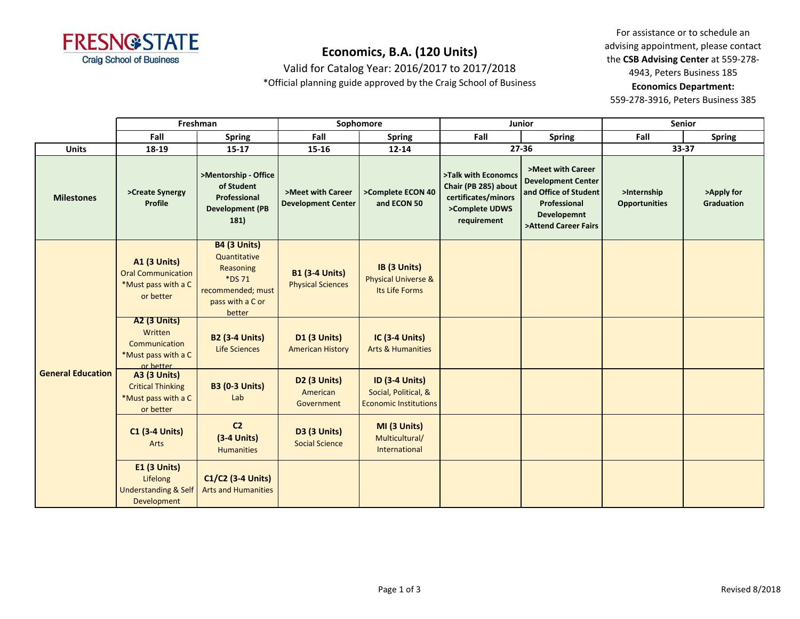

Valid for Catalog Year: 2016/2017 to 2017/2018

\*Official planning guide approved by the Craig School of Business

For assistance or to schedule an advising appointment, please contact the **CSB Advising Center** at 559-278- 4943, Peters Business 185 **Economics Department:** 

|                          | Freshman                                                                             |                                                                                                               | Sophomore                                         |                                                                               | Junior                                                                                              |                                                                                                                                | Senior                              |                                 |
|--------------------------|--------------------------------------------------------------------------------------|---------------------------------------------------------------------------------------------------------------|---------------------------------------------------|-------------------------------------------------------------------------------|-----------------------------------------------------------------------------------------------------|--------------------------------------------------------------------------------------------------------------------------------|-------------------------------------|---------------------------------|
|                          | Fall                                                                                 | <b>Spring</b>                                                                                                 | Fall                                              | <b>Spring</b>                                                                 | Fall                                                                                                | <b>Spring</b>                                                                                                                  | Fall                                | <b>Spring</b>                   |
| <b>Units</b>             | 18-19                                                                                | $15 - 17$                                                                                                     | 15-16                                             | $12 - 14$                                                                     |                                                                                                     | 27-36                                                                                                                          | 33-37                               |                                 |
| <b>Milestones</b>        | >Create Synergy<br>Profile                                                           | >Mentorship - Office<br>of Student<br>Professional<br><b>Development (PB</b><br>181)                          | >Meet with Career<br><b>Development Center</b>    | >Complete ECON 40<br>and ECON 50                                              | >Talk with Economcs<br>Chair (PB 285) about<br>certificates/minors<br>>Complete UDWS<br>requirement | >Meet with Career<br><b>Development Center</b><br>and Office of Student<br>Professional<br>Developemnt<br>>Attend Career Fairs | >Internship<br><b>Opportunities</b> | >Apply for<br><b>Graduation</b> |
| <b>General Education</b> | <b>A1 (3 Units)</b><br><b>Oral Communication</b><br>*Must pass with a C<br>or better | <b>B4 (3 Units)</b><br>Quantitative<br>Reasoning<br>*DS 71<br>recommended; must<br>pass with a C or<br>better | <b>B1 (3-4 Units)</b><br><b>Physical Sciences</b> | IB (3 Units)<br><b>Physical Universe &amp;</b><br>Its Life Forms              |                                                                                                     |                                                                                                                                |                                     |                                 |
|                          | <b>A2 (3 Units)</b><br>Written<br>Communication<br>*Must pass with a C<br>or hetter  | <b>B2 (3-4 Units)</b><br><b>Life Sciences</b>                                                                 | <b>D1 (3 Units)</b><br><b>American History</b>    | <b>IC (3-4 Units)</b><br><b>Arts &amp; Humanities</b>                         |                                                                                                     |                                                                                                                                |                                     |                                 |
|                          | <b>A3 (3 Units)</b><br><b>Critical Thinking</b><br>*Must pass with a C<br>or better  | <b>B3 (0-3 Units)</b><br>Lab                                                                                  | <b>D2 (3 Units)</b><br>American<br>Government     | <b>ID (3-4 Units)</b><br>Social, Political, &<br><b>Economic Institutions</b> |                                                                                                     |                                                                                                                                |                                     |                                 |
|                          | <b>C1 (3-4 Units)</b><br>Arts                                                        | C <sub>2</sub><br>$(3-4$ Units)<br><b>Humanities</b>                                                          | <b>D3 (3 Units)</b><br><b>Social Science</b>      | MI (3 Units)<br>Multicultural/<br>International                               |                                                                                                     |                                                                                                                                |                                     |                                 |
|                          | <b>E1 (3 Units)</b><br>Lifelong<br><b>Understanding &amp; Self</b><br>Development    | C1/C2 (3-4 Units)<br><b>Arts and Humanities</b>                                                               |                                                   |                                                                               |                                                                                                     |                                                                                                                                |                                     |                                 |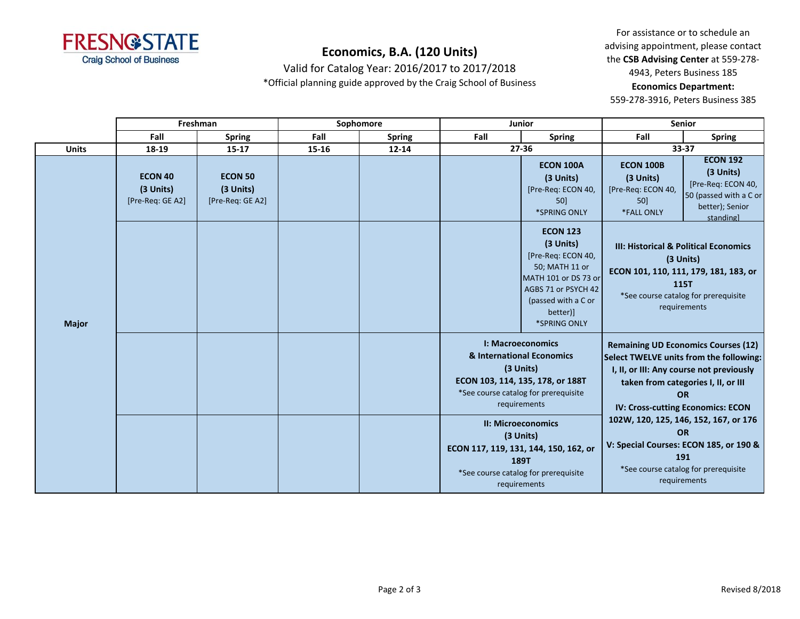

Valid for Catalog Year: 2016/2017 to 2017/2018 \*Official planning guide approved by the Craig School of Business

For assistance or to schedule an advising appointment, please contact the **CSB Advising Center** at 559-278- 4943, Peters Business 185 **Economics Department:** 

|              | Freshman                                        |                                                 | Sophomore |               | Junior |                                                                                                                                                                        | Senior                                                                   |                                                                                                                                                                                                                            |
|--------------|-------------------------------------------------|-------------------------------------------------|-----------|---------------|--------|------------------------------------------------------------------------------------------------------------------------------------------------------------------------|--------------------------------------------------------------------------|----------------------------------------------------------------------------------------------------------------------------------------------------------------------------------------------------------------------------|
|              | Fall                                            | <b>Spring</b>                                   | Fall      | <b>Spring</b> | Fall   | <b>Spring</b>                                                                                                                                                          | Fall                                                                     | <b>Spring</b>                                                                                                                                                                                                              |
| <b>Units</b> | 18-19                                           | $15 - 17$                                       | 15-16     | $12 - 14$     |        | 27-36                                                                                                                                                                  | 33-37                                                                    |                                                                                                                                                                                                                            |
| <b>Major</b> | <b>ECON 40</b><br>(3 Units)<br>[Pre-Req: GE A2] | <b>ECON 50</b><br>(3 Units)<br>[Pre-Req: GE A2] |           |               |        | <b>ECON 100A</b><br>(3 Units)<br>[Pre-Req: ECON 40,<br>50<br>*SPRING ONLY                                                                                              | <b>ECON 100B</b><br>(3 Units)<br>[Pre-Req: ECON 40,<br>50]<br>*FALL ONLY | <b>ECON 192</b><br>(3 Units)<br>[Pre-Req: ECON 40,<br>50 (passed with a C or<br>better); Senior<br>standingl                                                                                                               |
|              |                                                 |                                                 |           |               |        | <b>ECON 123</b><br>(3 Units)<br>[Pre-Req: ECON 40,<br>50; MATH 11 or<br>MATH 101 or DS 73 or<br>AGBS 71 or PSYCH 42<br>(passed with a C or<br>better)]<br>*SPRING ONLY |                                                                          | III: Historical & Political Economics<br>(3 Units)<br>ECON 101, 110, 111, 179, 181, 183, or<br>115T<br>*See course catalog for prerequisite<br>requirements                                                                |
|              |                                                 |                                                 |           |               |        | I: Macroeconomics<br>& International Economics<br>(3 Units)<br>ECON 103, 114, 135, 178, or 188T<br>*See course catalog for prerequisite<br>requirements                |                                                                          | <b>Remaining UD Economics Courses (12)</b><br>Select TWELVE units from the following:<br>I, II, or III: Any course not previously<br>taken from categories I, II, or III<br><b>OR</b><br>IV: Cross-cutting Economics: ECON |
|              |                                                 |                                                 |           |               |        | <b>II: Microeconomics</b><br>(3 Units)<br>ECON 117, 119, 131, 144, 150, 162, or<br>189T<br>*See course catalog for prerequisite<br>requirements                        |                                                                          | 102W, 120, 125, 146, 152, 167, or 176<br><b>OR</b><br>V: Special Courses: ECON 185, or 190 &<br>191<br>*See course catalog for prerequisite<br>requirements                                                                |